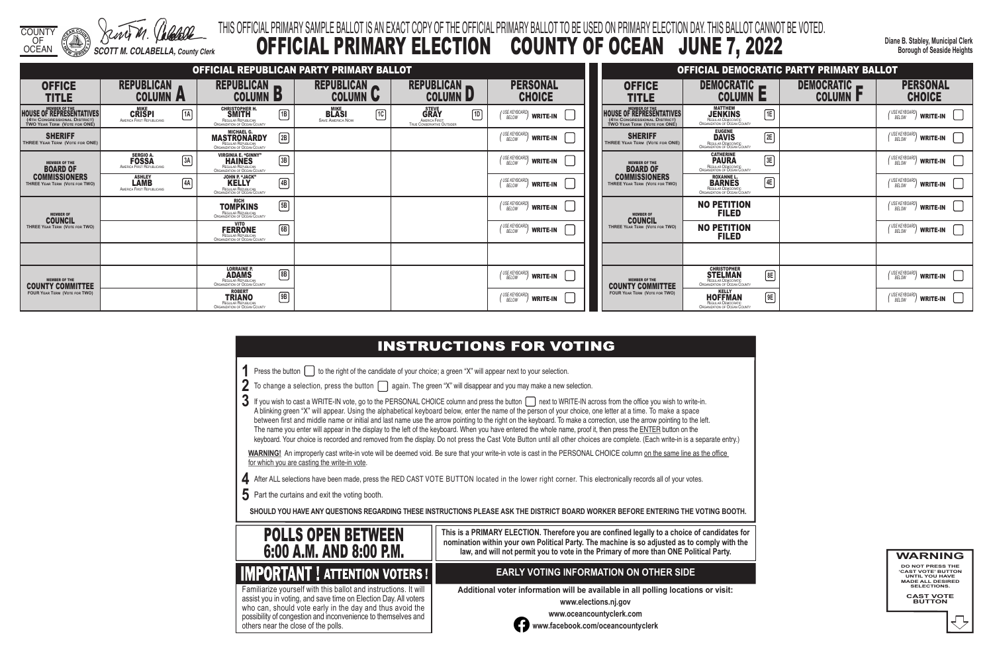### THIS OFFICIAL PRIMARY SAMPLE BALLOT IS AN EXACT COPY OF THE OFFICIAL PRIMARY BALLOT TO BE USED ON PRIMARY ELECTION DAY. THIS BALLOT CANNOT BE VOTED. TY OF OCEAN JUNE 7, 2022

**Diane B. Stabley, Municipal Clerk Borough of Seaside Heights**

- **1** Press the button  $\Box$  to the right of the candidate of your choice; a green "X" will appear next to your selection.
- **2** To change a selection, press the button **again.** The green "X" will disappear and you may make a new selection.
- 3 If you wish to cast a WRITE-IN vote, go to the PERSONAL CHOICE column and press the button next to WRITE-IN across from the office you wish to write-in. A blinking green "X" will appear. Using the alphabetical keyboard below, enter the name of the person of your choice, one letter at a time. To make a space between first and middle name or initial and last name use the arrow pointing to the right on the keyboard. To make a correction, use the arrow pointing to the left. The name you enter will appear in the display to the left of the keyboard. When you have entered the whole name, proof it, then press the ENTER button on the keyboard. Your choice is recorded and removed from the display. Do not press the Cast Vote Button until all other choices are complete. (Each write-in is a separate entry.)

WARNING! An improperly cast write-in vote will be deemed void. Be sure that your write-in vote is cast in the PERSONAL CHOICE column on the same line as the office for which you are casting the write-in vote.

- **4** After ALL selections have been made, press the RED CAST VOTE BUTTON located in the lower right corner. This electronically records all of your votes.
- **5** Part the curtains and exit the voting booth.

**SHOULD YOU HAVE ANY QUESTIONS REGARDING THESE INSTRUCTIONS PLEASE ASK THE DISTRICT BOARD WORKER BEFORE ENTERING THE VOTING BOOTH.**

**This is a PRIMARY ELECTION. Therefore you are confined legally to a choice of candidates for nomination within your own Political Party. The machine is so adjusted as to comply with the law, and will not permit you to vote in the Primary of more than ONE Political Party.**

 assist you in voting, and save time on Election Day. All voters Familiarize yourself with this ballot and instructions. It will who can, should vote early in the day and thus avoid the possibility of congestion and inconvenience to themselves and others near the close of the polls.

### **EARLY VOTING INFORMATION ON OTHER SIDE**

**Additional voter information will be available in all polling locations or visit:**

**www.elections.nj.gov** 



**www.oceancountyclerk.com <sup>w</sup>ww.facebook.com/oceancountyclerk**

| <b>COUNTY</b><br>OF<br>OCEAN                                                                                            | <b>SCOTT M. COLABELLA, County Clerk</b>                              |             |                                                                                                   |              |                                                        |                 | THIS OFFICIAL PRIMARY SAMPLE BALLOT IS AN EXACT COPY OF THE OFFICIAL PRIMARY BALLOT<br><b>OFFICIAL PRIMARY ELECTION</b> | <b>COUN</b>                                       |  |  |  |  |
|-------------------------------------------------------------------------------------------------------------------------|----------------------------------------------------------------------|-------------|---------------------------------------------------------------------------------------------------|--------------|--------------------------------------------------------|-----------------|-------------------------------------------------------------------------------------------------------------------------|---------------------------------------------------|--|--|--|--|
| OFFICIAL REPUBLICAN PARTY PRIMARY BALLOT                                                                                |                                                                      |             |                                                                                                   |              |                                                        |                 |                                                                                                                         |                                                   |  |  |  |  |
| <b>OFFICE</b><br>TITLE                                                                                                  | <b>REPUBLICAN</b><br><b>COLUMN</b>                                   | A           | <b>REPUBLICAN</b><br>COLUMN                                                                       | D            | <b>REPUBLICAN</b><br><b>COLUMN</b>                     | L               | <b>REPUBLICAN</b><br>IJ<br><b>COLUMN</b>                                                                                | <b>PERSONAL</b><br><b>CHOICE</b>                  |  |  |  |  |
| <b>MEMBER OF THE</b><br><b>HOUSE OF REPRESENTATIVES</b><br>(4TH CONGRESSIONAL DISTRICT)<br>TWO YEAR TERM (VOTE FOR ONE) | <b>MIKE</b><br><b>CRISPI</b><br><b>AMERICA FIRST REPUBLICANS</b>     | $\sqrt{1A}$ | <b>CHRISTOPHER H.</b><br><b>SMITH</b><br>REGULAR REPUBLICAN<br>ORGANIZATION OF OCEAN COUNTY       | TB)          | <b>MIKE</b><br><b>BLASI</b><br><b>SAVE AMERICA NOW</b> | $\overline{1}C$ | <b>STEVE</b><br>1D<br><b>GRAY</b><br>AMERICA FIRST:<br>TRUE CONSERVATIVE OUTSIDER                                       | ' USE KEYBOARD<br><b>WRITE-IN</b><br><b>BELOW</b> |  |  |  |  |
| <b>SHERIFF</b><br><b>THREE YEAR TERM (VOTE FOR ONE)</b>                                                                 |                                                                      |             | <b>MICHAEL G.</b><br><b>MASTRONARDY</b><br>REGULAR REPUBLICAN<br>ORGANIZATION OF OCEAN COUNTY     | $\sqrt{2B}$  |                                                        |                 |                                                                                                                         | ' USE KEYBOARD<br><b>WRITE-IN</b><br>BELOW        |  |  |  |  |
| <b>MEMBER OF THE</b><br><b>BOARD OF</b><br><b>COMMISSIONERS</b><br>THREE YEAR TERM (VOTE FOR TWO)                       | <b>SERGIO A.</b><br><b>FOSSA</b><br><b>AMERICA FIRST REPUBLICANS</b> | 3A          | <b>VIRGINIA E. "GINNY"</b><br><b>HAINES</b><br>REGULAR REPUBLICAN<br>ORGANIZATION OF OCEAN COUNTY | $\boxed{3B}$ |                                                        |                 |                                                                                                                         | USE KEYBOARD<br><b>WRITE-IN</b><br>BELOW          |  |  |  |  |
|                                                                                                                         | <b>ASHLEY</b><br>LAMB<br><b>AMERICA FIRST REPUBLICANS</b>            | 4A          | <b>JOHN P. "JACK"</b><br><b>KELLY</b><br>REGULAR REPUBLICAN<br>ORGANIZATION OF OCEAN COUNTY       | $\sqrt{4B}$  |                                                        |                 |                                                                                                                         | USE KEYBOARD<br><b>WRITE-IN</b><br>BELOW          |  |  |  |  |
| <b>MEMBER OF</b><br><b>COUNCIL</b><br>THREE YEAR TERM (VOTE FOR TWO)                                                    |                                                                      |             | <b>RICH</b><br><b>TOMPKINS</b><br>REGULAR REPUBLICAN<br>ORGANIZATION OF OCEAN COUNTY              | $\sqrt{5B}$  |                                                        |                 |                                                                                                                         | ' USE KEYBOARD<br><b>WRITE-IN</b><br>BELOW        |  |  |  |  |
|                                                                                                                         |                                                                      |             | <b>VITO</b><br><b>FERRONE</b><br>REGULAR REPUBLICAN<br>ORGANIZATION OF OCEAN COUNTY               | $\boxed{6B}$ |                                                        |                 |                                                                                                                         | USE KEYBOARD<br><b>WRITE-IN</b><br>BELOW          |  |  |  |  |
|                                                                                                                         |                                                                      |             |                                                                                                   |              |                                                        |                 |                                                                                                                         |                                                   |  |  |  |  |
|                                                                                                                         |                                                                      |             |                                                                                                   |              |                                                        |                 |                                                                                                                         |                                                   |  |  |  |  |

**WARNING DO NOT PRESS THE** 

**'CAST VOTE' BUTTON UNTIL YOU HAVE MADE ALL DESIRED SELECTIONS.** 

**CAST VOTE BUTTON**



| OFFICIAL DEMOCRATIC PARTY PRIMARY BALLOT                                                                                |                                                                                                              |                                    |                                                    |  |  |  |  |  |  |  |  |
|-------------------------------------------------------------------------------------------------------------------------|--------------------------------------------------------------------------------------------------------------|------------------------------------|----------------------------------------------------|--|--|--|--|--|--|--|--|
| <b>OFFICE</b><br>TITLE                                                                                                  | <b>DEMOCRATIC</b><br>E<br><b>COLUMN</b>                                                                      | <b>DEMOCRATIC</b><br><b>COLUMN</b> | <b>PERSONAL</b><br><b>CHOICE</b>                   |  |  |  |  |  |  |  |  |
| <b>MEMBER OF THE</b><br><b>HOUSE OF REPRESENTATIVES</b><br>(4TH CONGRESSIONAL DISTRICT)<br>TWO YEAR TERM (VOTE FOR ONE) | <b>MATTHEW</b><br><b>JENKINS</b><br> 1E <br>REGULAR DEMOCRATIC<br>ORGANIZATION OF OCEAN COUNTY               |                                    | ' USE KEYBOARD<br><b>WRITE-IN</b><br>BELOW         |  |  |  |  |  |  |  |  |
| <b>SHERIFF</b><br>THREE YEAR TERM (VOTE FOR ONE)                                                                        | <b>EUGENE</b><br> 2E <br><b>DAVIS</b><br>REGULAR DEMOCRATIC<br>ORGANIZATION OF OCEAN COUNTY                  |                                    | USE KEYBOARD)<br><b>WRITE-IN</b><br>BELOW          |  |  |  |  |  |  |  |  |
| <b>MEMBER OF THE</b><br><b>BOARD OF</b><br><b>COMMISSIONERS</b><br>THREE YEAR TERM (VOTE FOR TWO)                       | <b>CATHERINE</b><br>3E<br><b>PAURA</b><br>REGULAR DEMOCRATIC<br>ORGANIZATION OF OCEAN COUNTY                 |                                    | USE KEYBOARD<br><b>WRITE-IN</b><br>BELOW           |  |  |  |  |  |  |  |  |
|                                                                                                                         | <b>ROXANNE L.</b><br>4E<br><b>BARNES</b><br><b>REGULAR DEMOCRATIC</b><br><b>ORGANIZATION OF OCEAN COUNTY</b> |                                    | USE KEYBOARD<br><b>WRITE-IN</b><br><b>BELOW</b>    |  |  |  |  |  |  |  |  |
| <b>MEMBER OF</b><br>COUNCIL<br>THREE YEAR TERM (VOTE FOR TWO)                                                           | <b>NO PETITION</b><br><b>FILED</b>                                                                           |                                    | ' USE KEYBOARD<br><b>WRITE-IN</b><br>BELOW         |  |  |  |  |  |  |  |  |
|                                                                                                                         | <b>NO PETITION</b><br><b>FILED</b>                                                                           |                                    | I USE KEYBOARDI<br><b>WRITE-IN</b><br><b>BELOW</b> |  |  |  |  |  |  |  |  |
|                                                                                                                         |                                                                                                              |                                    |                                                    |  |  |  |  |  |  |  |  |
| <b>MEMBER OF THE</b><br><b>COUNTY COMMITTEE</b><br><b>FOUR YEAR TERM (VOTE FOR TWO)</b>                                 | <b>CHRISTOPHER</b><br>8E<br>TELMAN<br>REGULAR DEMOCRATIC<br>ORGANIZATION OF OCEAN COUNTY                     |                                    | I USE KEYBOARD<br><b>WRITE-IN</b><br>BELOW         |  |  |  |  |  |  |  |  |
|                                                                                                                         | <b>KELLY</b><br>9E<br><b>HOFFMAN</b><br>REGULAR DEMOCRATIC<br><b>ORGANIZATION OF OCEAN COUNTY</b>            |                                    | USE KEYBOARD)<br><b>WRITE-IN</b><br>BELOW          |  |  |  |  |  |  |  |  |

| <b>COMMISSIONERS</b><br>THREE YEAR TERM (VOTE FOR TWO)                                  | <b>ASHLEY</b><br><b>LAMB</b><br>AMERICA FIRST REPUBLICANS | 4A | <b>JOHN P. "JACK"</b><br><b>KELLY</b><br>REGULAR REPUBLICAN<br>ORGANIZATION OF OCEAN COUNTY | $\boxed{4B}$ |  | $\left(\begin{smallmatrix} \text{USE} \textit{KEYBOARD} \ \textit{DETOW} \end{smallmatrix}\right)$ write-in | <b>COMMISSIONERS</b><br>THREE YEAR TERM (VOTE FOR TWO) |
|-----------------------------------------------------------------------------------------|-----------------------------------------------------------|----|---------------------------------------------------------------------------------------------|--------------|--|-------------------------------------------------------------------------------------------------------------|--------------------------------------------------------|
| <b>MEMBER OF</b><br><b>COUNCIL</b><br>THREE YEAR TERM (VOTE FOR TWO)                    |                                                           |    | RICH<br><b>TOMPKINS</b><br>REGULAR REPUBLICAN<br>ORGANIZATION OF OCEAN COUNTY               | $\sqrt{5B}$  |  | (USE KEYBOARD)<br><b>WRITE-IN</b>                                                                           | <b>MEMBER OF</b><br><b>COUNCIL</b>                     |
|                                                                                         |                                                           |    | VITO<br><b>FERRONE</b><br>REGULAR REPUBLICAN<br>ORGANIZATION OF OCEAN COUNTY                | 6B           |  | (USE KEYBOARD)<br><b>WRITE-IN</b><br>BELOW                                                                  | THREE YEAR TERM (VOTE FOR TWO)                         |
|                                                                                         |                                                           |    |                                                                                             |              |  |                                                                                                             |                                                        |
| <b>MEMBER OF THE</b><br><b>COUNTY COMMITTEE</b><br><b>FOUR YEAR TERM (VOTE FOR TWO)</b> |                                                           |    | <b>LORRAINE P.</b><br><b>ADAMS</b><br>REGULAR REPUBLICAN<br>ORGANIZATION OF OCEAN COUNTY    | $\boxed{8B}$ |  | $\binom{USE KEVBOARD}{BELOW}$ write-in                                                                      | <b>MEMBER OF THE</b><br><b>COUNTY COMMITTEE</b>        |
|                                                                                         |                                                           |    | <b>ROBERT</b><br><b>TRIANO</b><br>REGULAR REPUBLICAN<br>ORGANIZATION OF OCEAN COUNTY        | 9B           |  | (USE KEYBOARD)<br><b>WRITE-IN</b>                                                                           | <b>FOUR YEAR TERM (VOTE FOR TWO)</b>                   |

### **INSTRUCTIONS FOR VOTING**